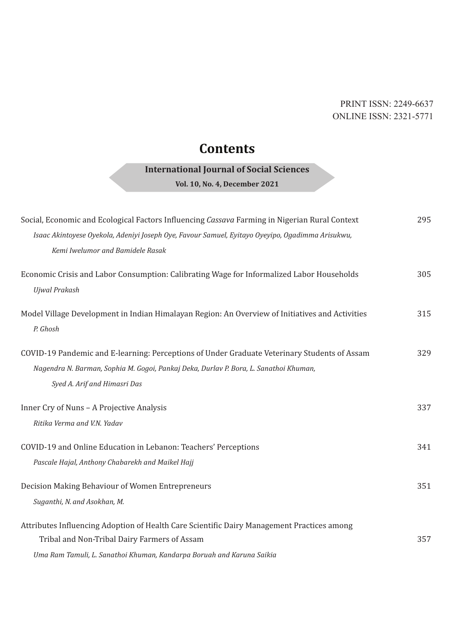## PRINT ISSN: 2249-6637 ONLINE ISSN: 2321-5771

## **Contents**

## **International Journal of Social Sciences**

**Vol. 10, No. 4, December 2021**

| Social, Economic and Ecological Factors Influencing Cassava Farming in Nigerian Rural Context                     | 295 |
|-------------------------------------------------------------------------------------------------------------------|-----|
| Isaac Akintoyese Oyekola, Adeniyi Joseph Oye, Favour Samuel, Eyitayo Oyeyipo, Ogadimma Arisukwu,                  |     |
| Kemi Iwelumor and Bamidele Rasak                                                                                  |     |
| Economic Crisis and Labor Consumption: Calibrating Wage for Informalized Labor Households<br><b>Ujwal Prakash</b> | 305 |
| Model Village Development in Indian Himalayan Region: An Overview of Initiatives and Activities<br>P. Ghosh       | 315 |
| COVID-19 Pandemic and E-learning: Perceptions of Under Graduate Veterinary Students of Assam                      | 329 |
| Nagendra N. Barman, Sophia M. Gogoi, Pankaj Deka, Durlav P. Bora, L. Sanathoi Khuman,                             |     |
| Syed A. Arif and Himasri Das                                                                                      |     |
| Inner Cry of Nuns - A Projective Analysis                                                                         | 337 |
| Ritika Verma and V.N. Yadav                                                                                       |     |
| COVID-19 and Online Education in Lebanon: Teachers' Perceptions                                                   | 341 |
| Pascale Hajal, Anthony Chabarekh and Maikel Hajj                                                                  |     |
| Decision Making Behaviour of Women Entrepreneurs                                                                  | 351 |
| Suganthi, N. and Asokhan, M.                                                                                      |     |
| Attributes Influencing Adoption of Health Care Scientific Dairy Management Practices among                        |     |
| Tribal and Non-Tribal Dairy Farmers of Assam                                                                      | 357 |
| Uma Ram Tamuli, L. Sanathoi Khuman, Kandarpa Boruah and Karuna Saikia                                             |     |